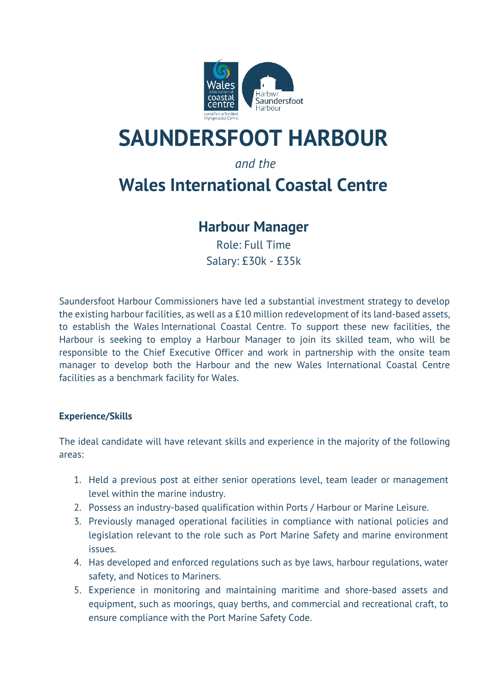

# **SAUNDERSFOOT HARBOUR**

### *and the*

## **Wales International Coastal Centre**

## **Harbour Manager**

Role: Full Time Salary: £30k - £35k

Saundersfoot Harbour Commissioners have led a substantial investment strategy to develop the existing harbour facilities, as well as a £10 million redevelopment of its land-based assets, to establish the Wales International Coastal Centre. To support these new facilities, the Harbour is seeking to employ a Harbour Manager to join its skilled team, who will be responsible to the Chief Executive Officer and work in partnership with the onsite team manager to develop both the Harbour and the new Wales International Coastal Centre facilities as a benchmark facility for Wales.

#### **Experience/Skills**

The ideal candidate will have relevant skills and experience in the majority of the following areas:

- 1. Held a previous post at either senior operations level, team leader or management level within the marine industry.
- 2. Possess an industry-based qualification within Ports / Harbour or Marine Leisure.
- 3. Previously managed operational facilities in compliance with national policies and legislation relevant to the role such as Port Marine Safety and marine environment issues.
- 4. Has developed and enforced regulations such as bye laws, harbour regulations, water safety, and Notices to Mariners.
- 5. Experience in monitoring and maintaining maritime and shore-based assets and equipment, such as moorings, quay berths, and commercial and recreational craft, to ensure compliance with the Port Marine Safety Code.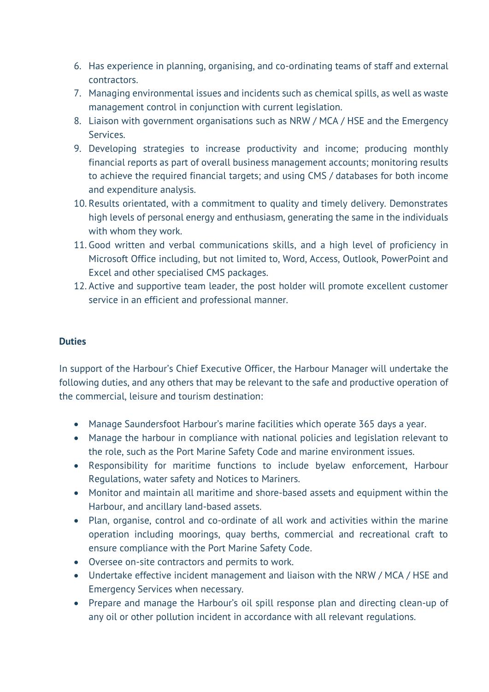- 6. Has experience in planning, organising, and co-ordinating teams of staff and external contractors.
- 7. Managing environmental issues and incidents such as chemical spills, as well as waste management control in conjunction with current legislation.
- 8. Liaison with government organisations such as NRW / MCA / HSE and the Emergency Services.
- 9. Developing strategies to increase productivity and income; producing monthly financial reports as part of overall business management accounts; monitoring results to achieve the required financial targets; and using CMS / databases for both income and expenditure analysis.
- 10. Results orientated, with a commitment to quality and timely delivery. Demonstrates high levels of personal energy and enthusiasm, generating the same in the individuals with whom they work.
- 11. Good written and verbal communications skills, and a high level of proficiency in Microsoft Office including, but not limited to, Word, Access, Outlook, PowerPoint and Excel and other specialised CMS packages.
- 12. Active and supportive team leader, the post holder will promote excellent customer service in an efficient and professional manner.

#### **Duties**

In support of the Harbour's Chief Executive Officer, the Harbour Manager will undertake the following duties, and any others that may be relevant to the safe and productive operation of the commercial, leisure and tourism destination:

- Manage Saundersfoot Harbour's marine facilities which operate 365 days a year.
- Manage the harbour in compliance with national policies and legislation relevant to the role, such as the Port Marine Safety Code and marine environment issues.
- Responsibility for maritime functions to include byelaw enforcement, Harbour Regulations, water safety and Notices to Mariners.
- Monitor and maintain all maritime and shore-based assets and equipment within the Harbour, and ancillary land-based assets.
- Plan, organise, control and co-ordinate of all work and activities within the marine operation including moorings, quay berths, commercial and recreational craft to ensure compliance with the Port Marine Safety Code.
- Oversee on-site contractors and permits to work.
- Undertake effective incident management and liaison with the NRW / MCA / HSE and Emergency Services when necessary.
- Prepare and manage the Harbour's oil spill response plan and directing clean-up of any oil or other pollution incident in accordance with all relevant regulations.